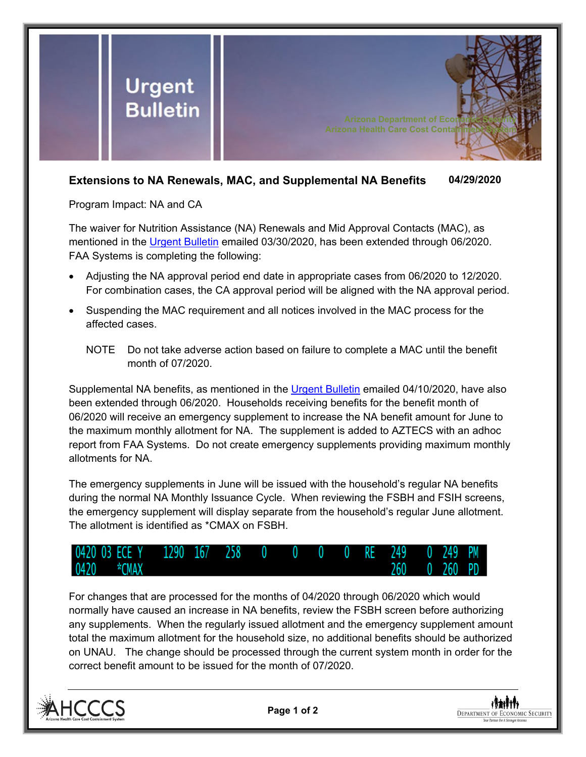

## **Extensions to NA Renewals, MAC, and Supplemental NA Benefits 04/29/2020**

Program Impact: NA and CA

The waiver for Nutrition Assistance (NA) Renewals and Mid Approval Contacts (MAC), as mentioned in the [Urgent Bulletin](https://dbmefaapolicy.azdes.gov/FAA5/baggage/Urgent%20Bulletin%20(03-30-2020)%20-%20Extension%20of%20NA%20Renewals%20and%20Mid%20Approval%20Contacts.pdf) emailed 03/30/2020, has been extended through 06/2020. FAA Systems is completing the following:

- Adjusting the NA approval period end date in appropriate cases from 06/2020 to 12/2020. For combination cases, the CA approval period will be aligned with the NA approval period.
- Suspending the MAC requirement and all notices involved in the MAC process for the affected cases.
	- NOTE Do not take adverse action based on failure to complete a MAC until the benefit month of 07/2020.

Supplemental NA benefits, as mentioned in the [Urgent Bulletin](https://dbmefaapolicy.azdes.gov/FAA5/baggage/Urgent%20Bulletin%20(04-10-2020)%20-%20Supplemental%20Nutrition%20Assistance%20Benefits%20for%20Participants.pdf) emailed 04/10/2020, have also been extended through 06/2020. Households receiving benefits for the benefit month of 06/2020 will receive an emergency supplement to increase the NA benefit amount for June to the maximum monthly allotment for NA. The supplement is added to AZTECS with an adhoc report from FAA Systems. Do not create emergency supplements providing maximum monthly allotments for NA.

The emergency supplements in June will be issued with the household's regular NA benefits during the normal NA Monthly Issuance Cycle. When reviewing the FSBH and FSIH screens, the emergency supplement will display separate from the household's regular June allotment. The allotment is identified as \*CMAX on FSBH.



For changes that are processed for the months of 04/2020 through 06/2020 which would normally have caused an increase in NA benefits, review the FSBH screen before authorizing any supplements. When the regularly issued allotment and the emergency supplement amount total the maximum allotment for the household size, no additional benefits should be authorized on UNAU. The change should be processed through the current system month in order for the correct benefit amount to be issued for the month of 07/2020.